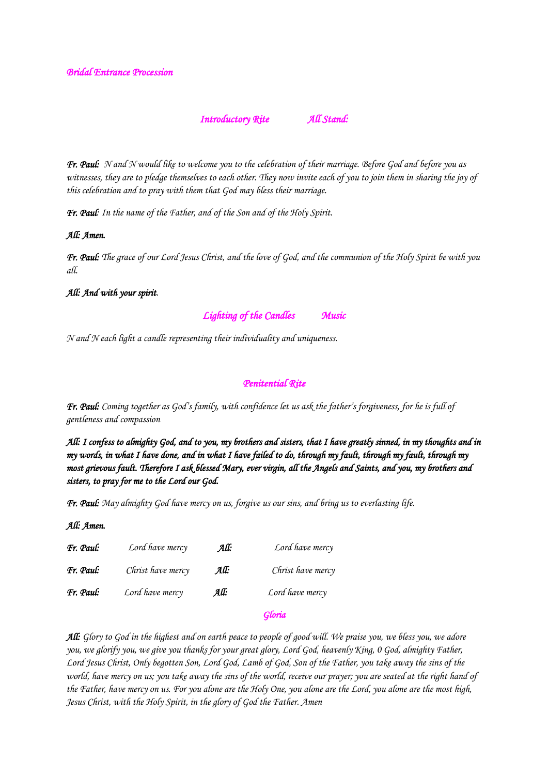### *Introductory Rite All Stand:*

*Fr. Paul: N and N would like to welcome you to the celebration of their marriage. Before God and before you as witnesses, they are to pledge themselves to each other. They now invite each of you to join them in sharing the joy of this celebration and to pray with them that God may bless their marriage.*

*Fr. Paul: In the name of the Father, and of the Son and of the Holy Spirit.*

#### *All: Amen.*

*Fr. Paul: The grace of our Lord Jesus Christ, and the love of God, and the communion of the Holy Spirit be with you all.*

#### *All: And with your spirit.*

*Lighting of the Candles Music* 

*N and N each light a candle representing their individuality and uniqueness.*

#### *Penitential Rite*

*Fr. Paul: Coming together as God's family, with confidence let us ask the father's forgiveness, for he is full of gentleness and compassion*

*All: I confess to almighty God, and to you, my brothers and sisters, that I have greatly sinned, in my thoughts and in my words, in what I have done, and in what I have failed to do, through my fault, through my fault, through my most grievous fault. Therefore I ask blessed Mary, ever virgin, all the Angels and Saints, and you, my brothers and sisters, to pray for me to the Lord our God.* 

*Fr. Paul: May almighty God have mercy on us, forgive us our sins, and bring us to everlasting life.*

*All: Amen.* 

| Fr. Paul: | Lord have mercy   | All: | Lord have mercy   |
|-----------|-------------------|------|-------------------|
| Fr. Paul: | Christ have mercy | All: | Christ have mercy |
| Fr. Paul: | Lord have mercy   | All: | Lord have mercy   |

# *Gloria*

*All: Glory to God in the highest and on earth peace to people of good will. We praise you, we bless you, we adore you, we glorify you, we give you thanks for your great glory, Lord God, heavenly King, 0 God, almighty Father,*  Lord Jesus Christ, Only begotten Son, Lord God, Lamb of God, Son of the Father, you take away the sins of the *world, have mercy on us; you take away the sins of the world, receive our prayer; you are seated at the right hand of the Father, have mercy on us. For you alone are the Holy One, you alone are the Lord, you alone are the most high, Jesus Christ, with the Holy Spirit, in the glory of God the Father. Amen*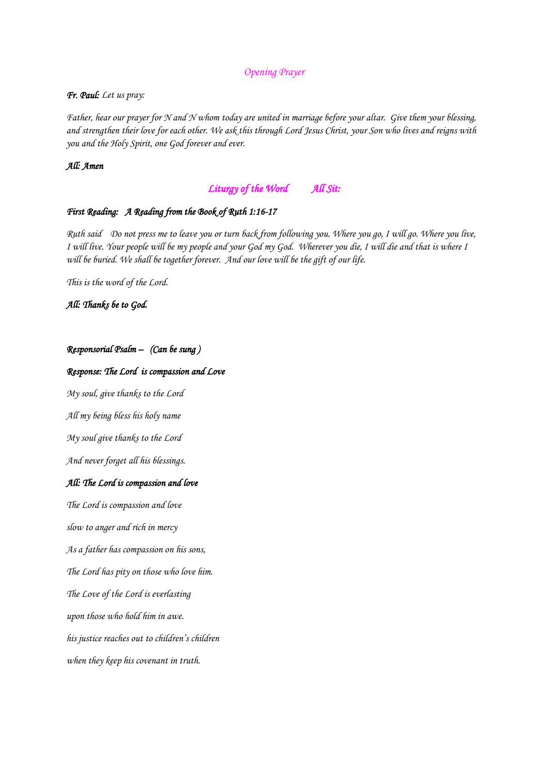#### *Opening Prayer*

#### *Fr. Paul: Let us pray:*

*Father, hear our prayer for N and N whom today are united in marriage before your altar. Give them your blessing, and strengthen their love for each other. We ask this through Lord Jesus Christ, your Son who lives and reigns with you and the Holy Spirit, one God forever and ever.*

### *All: Amen*

# *Liturgy of the Word All Sit:*

#### *First Reading: A Reading from the Book of Ruth 1:16-17*

*Ruth said Do not press me to leave you or turn back from following you. Where you go, I will go. Where you live, I will live. Your people will be my people and your God my God. Wherever you die, I will die and that is where I will be buried. We shall be together forever. And our love will be the gift of our life.*

*This is the word of the Lord.*

*All: Thanks be to God.* 

### *Responsorial Psalm – (Can be sung )*

#### *Response: The Lord is compassion and Love*

*My soul, give thanks to the Lord*

*All my being bless his holy name*

*My soul give thanks to the Lord*

*And never forget all his blessings.* 

#### *All: The Lord is compassion and love*

*The Lord is compassion and love* 

*slow to anger and rich in mercy*

*As a father has compassion on his sons,*

*The Lord has pity on those who love him.*

*The Love of the Lord is everlasting*

*upon those who hold him in awe.*

*his justice reaches out to children's children*

*when they keep his covenant in truth.*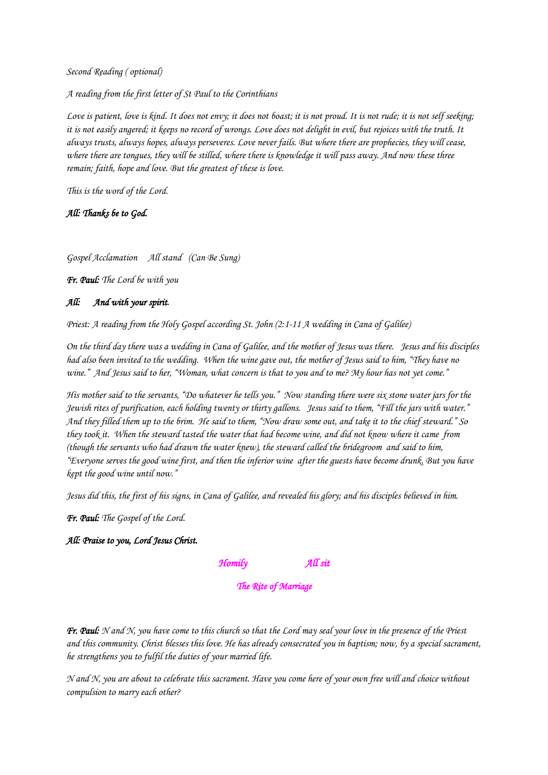*Second Reading ( optional)*

*A reading from the first letter of St Paul to the Corinthians* 

*Love is patient, love is kind. It does not envy; it does not boast; it is not proud. It is not rude; it is not self seeking; it is not easily angered; it keeps no record of wrongs. Love does not delight in evil, but rejoices with the truth. It always trusts, always hopes, always perseveres. Love never fails. But where there are prophecies, they will cease, where there are tongues, they will be stilled, where there is knowledge it will pass away. And now these three remain; faith, hope and love. But the greatest of these is love.*

*This is the word of the Lord.*

*All: Thanks be to God.* 

*Gospel Acclamation All stand (Can Be Sung)*

*Fr. Paul: The Lord be with you*

#### *All: And with your spirit.*

*Priest: A reading from the Holy Gospel according St. John (2:1-11 A wedding in Cana of Galilee)*

*On the third day there was a wedding in Cana of Galilee, and the mother of Jesus was there. Jesus and his disciples had also been invited to the wedding. When the wine gave out, the mother of Jesus said to him, "They have no wine." And Jesus said to her, "Woman, what concern is that to you and to me? My hour has not yet come."* 

*His mother said to the servants, "Do whatever he tells you." Now standing there were six stone water jars for the Jewish rites of purification, each holding twenty or thirty gallons. Jesus said to them, "Fill the jars with water." And they filled them up to the brim. He said to them, "Now draw some out, and take it to the chief steward." So they took it. When the steward tasted the water that had become wine, and did not know where it came from (though the servants who had drawn the water knew), the steward called the bridegroom and said to him, "Everyone serves the good wine first, and then the inferior wine after the guests have become drunk. But you have kept the good wine until now."* 

*Jesus did this, the first of his signs, in Cana of Galilee, and revealed his glory; and his disciples believed in him.*

*Fr. Paul: The Gospel of the Lord.*

#### *All: Praise to you, Lord Jesus Christ.*

*Homily All sit* 

#### *The Rite of Marriage*

*Fr. Paul: N and N, you have come to this church so that the Lord may seal your love in the presence of the Priest and this community. Christ blesses this love. He has already consecrated you in baptism; now, by a special sacrament, he strengthens you to fulfil the duties of your married life.*

*N and N, you are about to celebrate this sacrament. Have you come here of your own free will and choice without compulsion to marry each other?*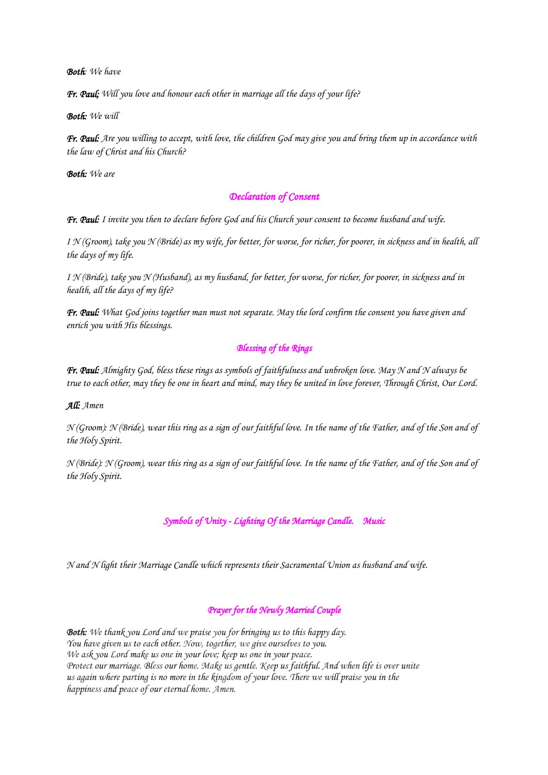*Both: We have*

*Fr. Paul; Will you love and honour each other in marriage all the days of your life?*

*Both: We will*

*Fr. Paul: Are you willing to accept, with love, the children God may give you and bring them up in accordance with the law of Christ and his Church?*

*Both: We are*

### *Declaration of Consent*

*Fr. Paul: I invite you then to declare before God and his Church your consent to become husband and wife.*

*I N (Groom), take you N (Bride) as my wife, for better, for worse, for richer, for poorer, in sickness and in health, all the days of my life.*

*I N (Bride), take you N (Husband), as my husband, for better, for worse, for richer, for poorer, in sickness and in health, all the days of my life?*

*Fr. Paul: What God joins together man must not separate. May the lord confirm the consent you have given and enrich you with His blessings.*

### *Blessing of the Rings*

*Fr. Paul: Almighty God, bless these rings as symbols of faithfulness and unbroken love. May N and N always be true to each other, may they be one in heart and mind, may they be united in love forever, Through Christ, Our Lord.*

*All: Amen*

*N (Groom): N (Bride), wear this ring as a sign of our faithful love. In the name of the Father, and of the Son and of the Holy Spirit.*

*N (Bride): N (Groom), wear this ring as a sign of our faithful love. In the name of the Father, and of the Son and of the Holy Spirit.*

*Symbols of Unity - Lighting Of the Marriage Candle. Music* 

*N and N light their Marriage Candle which represents their Sacramental Union as husband and wife.*

### *Prayer for the Newly Married Couple*

*Both: We thank you Lord and we praise you for bringing us to this happy day. You have given us to each other. Now, together, we give ourselves to you. We ask you Lord make us one in your love; keep us one in your peace. Protect our marriage. Bless our home. Make us gentle. Keep us faithful. And when life is over unite us again where parting is no more in the kingdom of your love. There we will praise you in the happiness and peace of our eternal home. Amen.*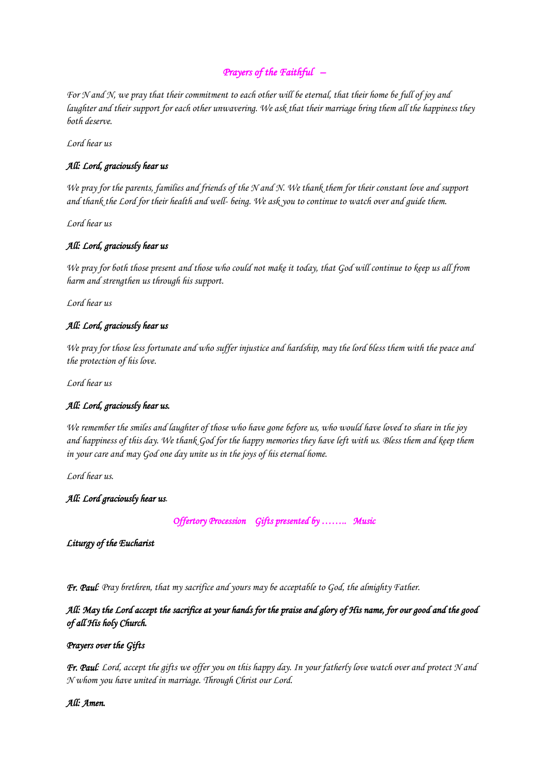# *Prayers of the Faithful –*

*For N and N, we pray that their commitment to each other will be eternal, that their home be full of joy and laughter and their support for each other unwavering. We ask that their marriage bring them all the happiness they both deserve.*

*Lord hear us*

### *All: Lord, graciously hear us*

*We pray for the parents, families and friends of the N and N. We thank them for their constant love and support and thank the Lord for their health and well- being. We ask you to continue to watch over and guide them.* 

*Lord hear us*

### *All: Lord, graciously hear us*

*We pray for both those present and those who could not make it today, that God will continue to keep us all from harm and strengthen us through his support.*

*Lord hear us*

### *All: Lord, graciously hear us*

*We pray for those less fortunate and who suffer injustice and hardship, may the lord bless them with the peace and the protection of his love.*

*Lord hear us*

### *All: Lord, graciously hear us.*

*We remember the smiles and laughter of those who have gone before us, who would have loved to share in the joy and happiness of this day. We thank God for the happy memories they have left with us. Bless them and keep them in your care and may God one day unite us in the joys of his eternal home.*

*Lord hear us.*

*All: Lord graciously hear us.*

*Offertory Procession Gifts presented by …….. Music* 

*Liturgy of the Eucharist* 

*Fr. Paul: Pray brethren, that my sacrifice and yours may be acceptable to God, the almighty Father.*

*All: May the Lord accept the sacrifice at your hands for the praise and glory of His name, for our good and the good of all His holy Church.* 

### *Prayers over the Gifts*

*Fr. Paul: Lord, accept the gifts we offer you on this happy day. In your fatherly love watch over and protect N and N whom you have united in marriage. Through Christ our Lord.* 

### *All: Amen.*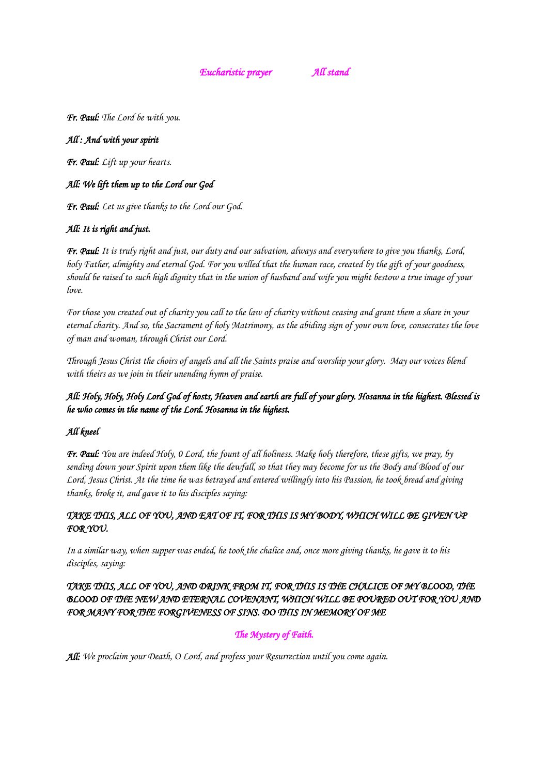*Eucharistic prayer All stand* 

*Fr. Paul: The Lord be with you.*

### *All : And with your spirit*

*Fr. Paul: Lift up your hearts.*

# *All: We lift them up to the Lord our God*

*Fr. Paul: Let us give thanks to the Lord our God.*

# *All: It is right and just.*

*Fr. Paul: It is truly right and just, our duty and our salvation, always and everywhere to give you thanks, Lord, holy Father, almighty and eternal God. For you willed that the human race, created by the gift of your goodness, should be raised to such high dignity that in the union of husband and wife you might bestow a true image of your love.*

*For those you created out of charity you call to the law of charity without ceasing and grant them a share in your eternal charity. And so, the Sacrament of holy Matrimony, as the abiding sign of your own love, consecrates the love of man and woman, through Christ our Lord.*

*Through Jesus Christ the choirs of angels and all the Saints praise and worship your glory. May our voices blend with theirs as we join in their unending hymn of praise.*

# *All: Holy, Holy, Holy Lord God of hosts, Heaven and earth are full of your glory. Hosanna in the highest. Blessed is he who comes in the name of the Lord. Hosanna in the highest.*

# *All kneel*

*Fr. Paul: You are indeed Holy, 0 Lord, the fount of all holiness. Make holy therefore, these gifts, we pray, by sending down your Spirit upon them like the dewfall, so that they may become for us the Body and Blood of our Lord, Jesus Christ. At the time he was betrayed and entered willingly into his Passion, he took bread and giving thanks, broke it, and gave it to his disciples saying:*

# *TAKE THIS, ALL OF YOU, AND EAT OF IT, FOR THIS IS MY BODY, WHICH WILL BE GIVEN UP FOR YOU.*

*In a similar way, when supper was ended, he took the chalice and, once more giving thanks, he gave it to his disciples, saying:*

*TAKE THIS, ALL OF YOU, AND DRINK FROM IT, FOR THIS IS THE CHALICE OF MY BLOOD, THE BLOOD OF THE NEW AND ETERNAL COVENANT, WHICH WILL BE POURED OUT FOR YOU AND FOR MANY FOR THE FORGIVENESS OF SINS. DO THIS IN MEMORY OF ME* 

# *The Mystery of Faith.*

*All: We proclaim your Death, O Lord, and profess your Resurrection until you come again.*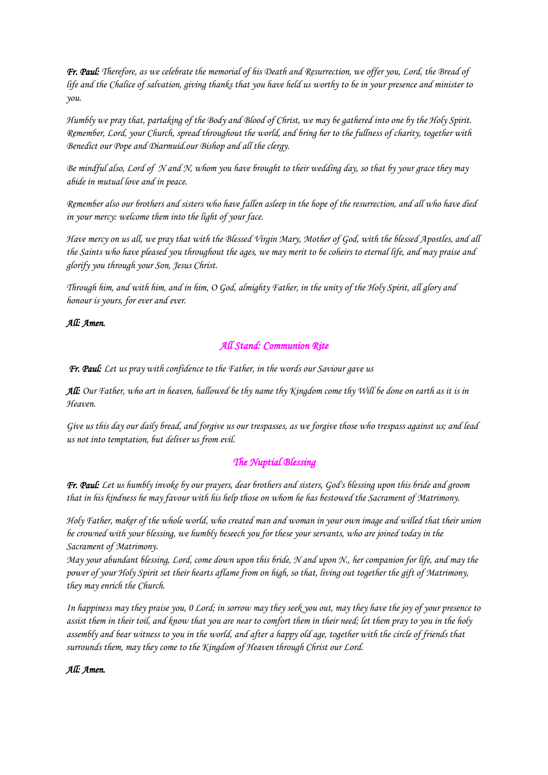*Fr. Paul: Therefore, as we celebrate the memorial of his Death and Resurrection, we offer you, Lord, the Bread of life and the Chalice of salvation, giving thanks that you have held us worthy to be in your presence and minister to you.*

*Humbly we pray that, partaking of the Body and Blood of Christ, we may be gathered into one by the Holy Spirit. Remember, Lord, your Church, spread throughout the world, and bring her to the fullness of charity, together with Benedict our Pope and Diarmuid.our Bishop and all the clergy.* 

*Be mindful also, Lord of N and N, whom you have brought to their wedding day, so that by your grace they may abide in mutual love and in peace.*

*Remember also our brothers and sisters who have fallen asleep in the hope of the resurrection, and all who have died in your mercy: welcome them into the light of your face.* 

*Have mercy on us all, we pray that with the Blessed Virgin Mary, Mother of God, with the blessed Apostles, and all the Saints who have pleased you throughout the ages, we may merit to be coheirs to eternal life, and may praise and glorify you through your Son, Jesus Christ.* 

*Through him, and with him, and in him, O God, almighty Father, in the unity of the Holy Spirit, all glory and honour is yours, for ever and ever.*

### *All: Amen.*

### *All Stand: Communion Rite*

*Fr. Paul: Let us pray with confidence to the Father, in the words our Saviour gave us* 

*All: Our Father, who art in heaven, hallowed be thy name thy Kingdom come thy Will be done on earth as it is in Heaven.* 

*Give us this day our daily bread, and forgive us our trespasses, as we forgive those who trespass against us; and lead us not into temptation, but deliver us from evil.*

# *The Nuptial Blessing*

*Fr. Paul: Let us humbly invoke by our prayers, dear brothers and sisters, God's blessing upon this bride and groom that in his kindness he may favour with his help those on whom he has bestowed the Sacrament of Matrimony.* 

*Holy Father, maker of the whole world, who created man and woman in your own image and willed that their union be crowned with your blessing, we humbly beseech you for these your servants, who are joined today in the Sacrament of Matrimony.* 

*May your abundant blessing, Lord, come down upon this bride, N and upon N., her companion for life, and may the power of your Holy Spirit set their hearts aflame from on high, so that, living out together the gift of Matrimony, they may enrich the Church.* 

*In happiness may they praise you, 0 Lord; in sorrow may they seek you out, may they have the joy of your presence to assist them in their toil, and know that you are near to comfort them in their need; let them pray to you in the holy assembly and bear witness to you in the world, and after a happy old age, together with the circle of friends that surrounds them, may they come to the Kingdom of Heaven through Christ our Lord.*

# *All: Amen.*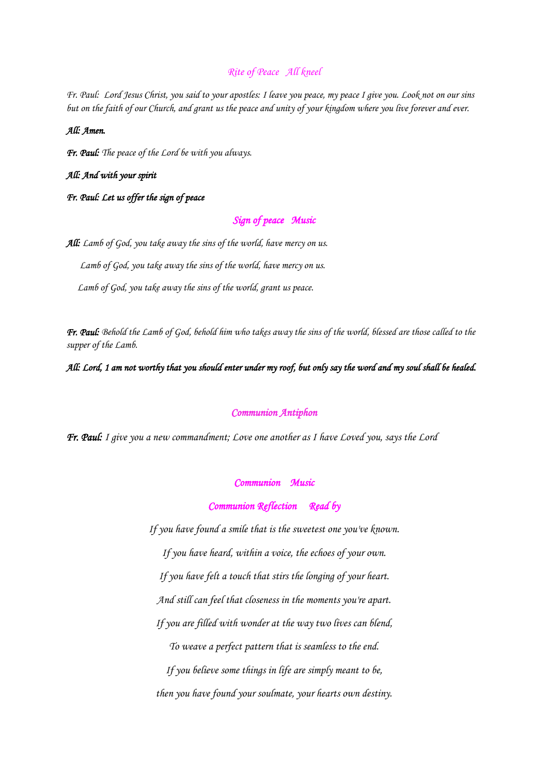# *Rite of Peace All kneel*

*Fr. Paul: Lord Jesus Christ, you said to your apostles: I leave you peace, my peace I give you. Look not on our sins but on the faith of our Church, and grant us the peace and unity of your kingdom where you live forever and ever.*

#### *All: Amen.*

*Fr. Paul: The peace of the Lord be with you always.*

*All: And with your spirit*

*Fr. Paul: Let us offer the sign of peace* 

### *Sign of peace Music*

*All: Lamb of God, you take away the sins of the world, have mercy on us.*

 *Lamb of God, you take away the sins of the world, have mercy on us.*

 *Lamb of God, you take away the sins of the world, grant us peace.*

*Fr. Paul: Behold the Lamb of God, behold him who takes away the sins of the world, blessed are those called to the supper of the Lamb.*

*All: Lord, 1 am not worthy that you should enter under my roof, but only say the word and my soul shall be healed.* 

#### *Communion Antiphon*

*Fr. Paul: I give you a new commandment; Love one another as I have Loved you, says the Lord* 

#### *Communion Music*

*Communion Reflection Read by* 

*If you have found a smile that is the sweetest one you've known. If you have heard, within a voice, the echoes of your own. If you have felt a touch that stirs the longing of your heart. And still can feel that closeness in the moments you're apart. If you are filled with wonder at the way two lives can blend, To weave a perfect pattern that is seamless to the end. If you believe some things in life are simply meant to be, then you have found your soulmate, your hearts own destiny.*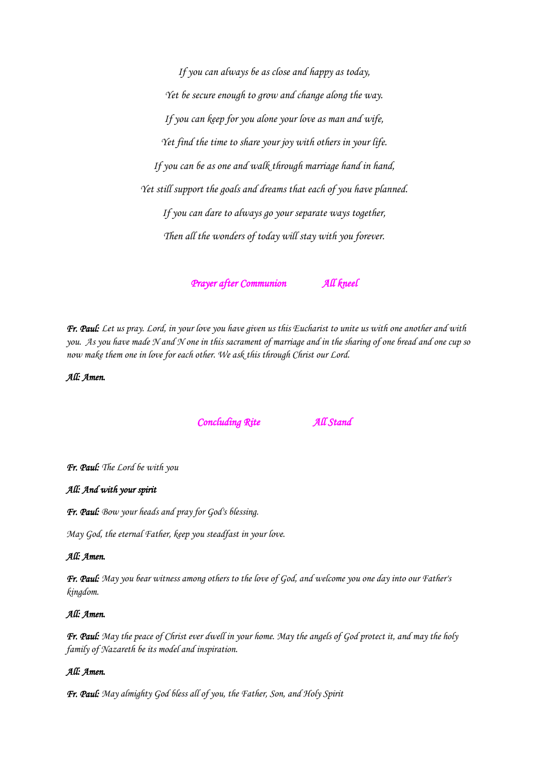*If you can always be as close and happy as today, Yet be secure enough to grow and change along the way. If you can keep for you alone your love as man and wife, Yet find the time to share your joy with others in your life. If you can be as one and walk through marriage hand in hand, Yet still support the goals and dreams that each of you have planned. If you can dare to always go your separate ways together, Then all the wonders of today will stay with you forever.*

*Prayer after Communion All kneel* 

*Fr. Paul: Let us pray. Lord, in your love you have given us this Eucharist to unite us with one another and with you. As you have made N and N one in this sacrament of marriage and in the sharing of one bread and one cup so now make them one in love for each other. We ask this through Christ our Lord.*

*All: Amen.* 

*Concluding Rite All Stand* 

*Fr. Paul: The Lord be with you*

#### *All: And with your spirit*

*Fr. Paul: Bow your heads and pray for God's blessing.* 

*May God, the eternal Father, keep you steadfast in your love.*

#### *All: Amen.*

*Fr. Paul: May you bear witness among others to the love of God, and welcome you one day into our Father's kingdom.*

#### *All: Amen.*

*Fr. Paul: May the peace of Christ ever dwell in your home. May the angels of God protect it, and may the holy family of Nazareth be its model and inspiration.*

#### *All: Amen.*

*Fr. Paul: May almighty God bless all of you, the Father, Son, and Holy Spirit*